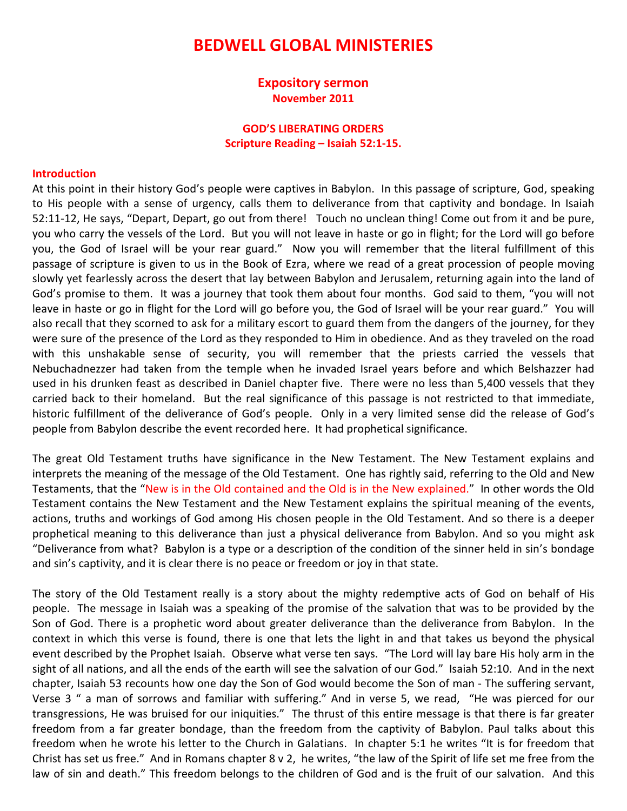# BEDWELL GLOBAL MINISTERIES

## Expository sermon November 2011

### GOD'S LIBERATING ORDERS Scripture Reading – Isaiah 52:1-15.

#### Introduction

At this point in their history God's people were captives in Babylon. In this passage of scripture, God, speaking to His people with a sense of urgency, calls them to deliverance from that captivity and bondage. In Isaiah 52:11-12, He says, "Depart, Depart, go out from there! Touch no unclean thing! Come out from it and be pure, you who carry the vessels of the Lord. But you will not leave in haste or go in flight; for the Lord will go before you, the God of Israel will be your rear guard." Now you will remember that the literal fulfillment of this passage of scripture is given to us in the Book of Ezra, where we read of a great procession of people moving slowly yet fearlessly across the desert that lay between Babylon and Jerusalem, returning again into the land of God's promise to them. It was a journey that took them about four months. God said to them, "you will not leave in haste or go in flight for the Lord will go before you, the God of Israel will be your rear guard." You will also recall that they scorned to ask for a military escort to guard them from the dangers of the journey, for they were sure of the presence of the Lord as they responded to Him in obedience. And as they traveled on the road with this unshakable sense of security, you will remember that the priests carried the vessels that Nebuchadnezzer had taken from the temple when he invaded Israel years before and which Belshazzer had used in his drunken feast as described in Daniel chapter five. There were no less than 5,400 vessels that they carried back to their homeland. But the real significance of this passage is not restricted to that immediate, historic fulfillment of the deliverance of God's people. Only in a very limited sense did the release of God's people from Babylon describe the event recorded here. It had prophetical significance.

The great Old Testament truths have significance in the New Testament. The New Testament explains and interprets the meaning of the message of the Old Testament. One has rightly said, referring to the Old and New Testaments, that the "New is in the Old contained and the Old is in the New explained." In other words the Old Testament contains the New Testament and the New Testament explains the spiritual meaning of the events, actions, truths and workings of God among His chosen people in the Old Testament. And so there is a deeper prophetical meaning to this deliverance than just a physical deliverance from Babylon. And so you might ask "Deliverance from what? Babylon is a type or a description of the condition of the sinner held in sin's bondage and sin's captivity, and it is clear there is no peace or freedom or joy in that state.

The story of the Old Testament really is a story about the mighty redemptive acts of God on behalf of His people. The message in Isaiah was a speaking of the promise of the salvation that was to be provided by the Son of God. There is a prophetic word about greater deliverance than the deliverance from Babylon. In the context in which this verse is found, there is one that lets the light in and that takes us beyond the physical event described by the Prophet Isaiah. Observe what verse ten says. "The Lord will lay bare His holy arm in the sight of all nations, and all the ends of the earth will see the salvation of our God." Isaiah 52:10. And in the next chapter, Isaiah 53 recounts how one day the Son of God would become the Son of man - The suffering servant, Verse 3 " a man of sorrows and familiar with suffering." And in verse 5, we read, "He was pierced for our transgressions, He was bruised for our iniquities." The thrust of this entire message is that there is far greater freedom from a far greater bondage, than the freedom from the captivity of Babylon. Paul talks about this freedom when he wrote his letter to the Church in Galatians. In chapter 5:1 he writes "It is for freedom that Christ has set us free." And in Romans chapter 8 v 2, he writes, "the law of the Spirit of life set me free from the law of sin and death." This freedom belongs to the children of God and is the fruit of our salvation. And this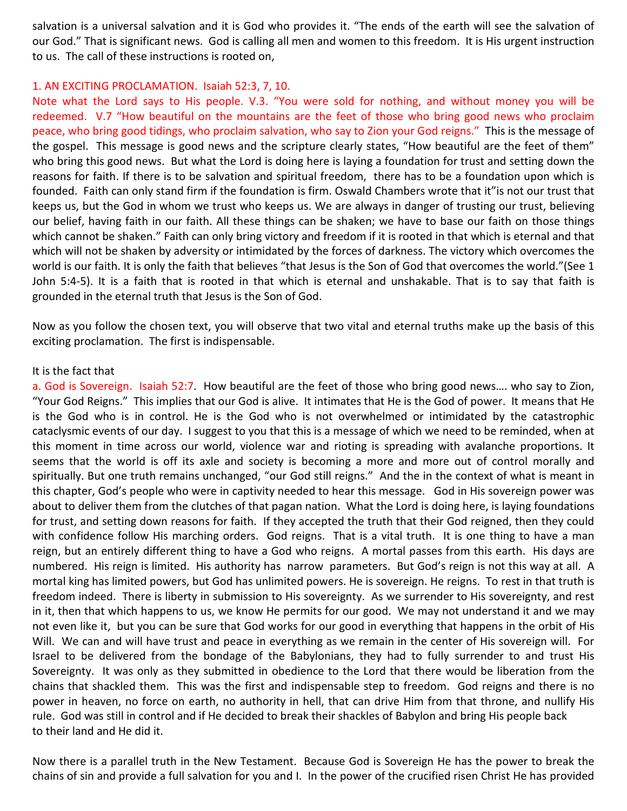salvation is a universal salvation and it is God who provides it. "The ends of the earth will see the salvation of our God." That is significant news. God is calling all men and women to this freedom. It is His urgent instruction to us. The call of these instructions is rooted on,

#### 1. AN EXCITING PROCLAMATION. Isaiah 52:3, 7, 10.

Note what the Lord says to His people. V.3. "You were sold for nothing, and without money you will be redeemed. V.7 "How beautiful on the mountains are the feet of those who bring good news who proclaim peace, who bring good tidings, who proclaim salvation, who say to Zion your God reigns." This is the message of the gospel. This message is good news and the scripture clearly states, "How beautiful are the feet of them" who bring this good news. But what the Lord is doing here is laying a foundation for trust and setting down the reasons for faith. If there is to be salvation and spiritual freedom, there has to be a foundation upon which is founded. Faith can only stand firm if the foundation is firm. Oswald Chambers wrote that it"is not our trust that keeps us, but the God in whom we trust who keeps us. We are always in danger of trusting our trust, believing our belief, having faith in our faith. All these things can be shaken; we have to base our faith on those things which cannot be shaken." Faith can only bring victory and freedom if it is rooted in that which is eternal and that which will not be shaken by adversity or intimidated by the forces of darkness. The victory which overcomes the world is our faith. It is only the faith that believes "that Jesus is the Son of God that overcomes the world."(See 1 John 5:4-5). It is a faith that is rooted in that which is eternal and unshakable. That is to say that faith is grounded in the eternal truth that Jesus is the Son of God.

Now as you follow the chosen text, you will observe that two vital and eternal truths make up the basis of this exciting proclamation. The first is indispensable.

#### It is the fact that

a. God is Sovereign. Isaiah 52:7. How beautiful are the feet of those who bring good news…. who say to Zion, "Your God Reigns." This implies that our God is alive. It intimates that He is the God of power. It means that He is the God who is in control. He is the God who is not overwhelmed or intimidated by the catastrophic cataclysmic events of our day. I suggest to you that this is a message of which we need to be reminded, when at this moment in time across our world, violence war and rioting is spreading with avalanche proportions. It seems that the world is off its axle and society is becoming a more and more out of control morally and spiritually. But one truth remains unchanged, "our God still reigns." And the in the context of what is meant in this chapter, God's people who were in captivity needed to hear this message. God in His sovereign power was about to deliver them from the clutches of that pagan nation. What the Lord is doing here, is laying foundations for trust, and setting down reasons for faith. If they accepted the truth that their God reigned, then they could with confidence follow His marching orders. God reigns. That is a vital truth. It is one thing to have a man reign, but an entirely different thing to have a God who reigns. A mortal passes from this earth. His days are numbered. His reign is limited. His authority has narrow parameters. But God's reign is not this way at all. A mortal king has limited powers, but God has unlimited powers. He is sovereign. He reigns. To rest in that truth is freedom indeed. There is liberty in submission to His sovereignty. As we surrender to His sovereignty, and rest in it, then that which happens to us, we know He permits for our good. We may not understand it and we may not even like it, but you can be sure that God works for our good in everything that happens in the orbit of His Will. We can and will have trust and peace in everything as we remain in the center of His sovereign will. For Israel to be delivered from the bondage of the Babylonians, they had to fully surrender to and trust His Sovereignty. It was only as they submitted in obedience to the Lord that there would be liberation from the chains that shackled them. This was the first and indispensable step to freedom. God reigns and there is no power in heaven, no force on earth, no authority in hell, that can drive Him from that throne, and nullify His rule. God was still in control and if He decided to break their shackles of Babylon and bring His people back to their land and He did it.

Now there is a parallel truth in the New Testament. Because God is Sovereign He has the power to break the chains of sin and provide a full salvation for you and I. In the power of the crucified risen Christ He has provided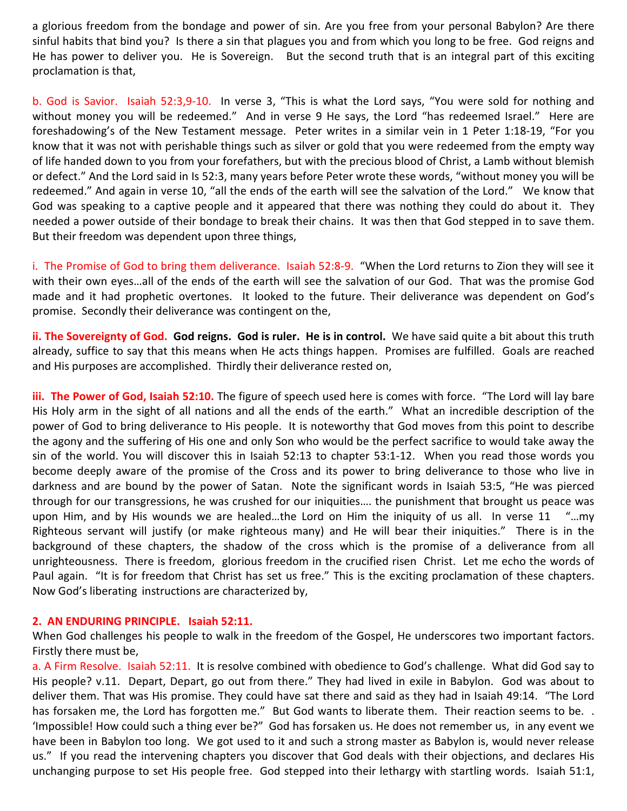a glorious freedom from the bondage and power of sin. Are you free from your personal Babylon? Are there sinful habits that bind you? Is there a sin that plagues you and from which you long to be free. God reigns and He has power to deliver you. He is Sovereign. But the second truth that is an integral part of this exciting proclamation is that,

b. God is Savior. Isaiah 52:3,9-10. In verse 3, "This is what the Lord says, "You were sold for nothing and without money you will be redeemed." And in verse 9 He says, the Lord "has redeemed Israel." Here are foreshadowing's of the New Testament message. Peter writes in a similar vein in 1 Peter 1:18-19, "For you know that it was not with perishable things such as silver or gold that you were redeemed from the empty way of life handed down to you from your forefathers, but with the precious blood of Christ, a Lamb without blemish or defect." And the Lord said in Is 52:3, many years before Peter wrote these words, "without money you will be redeemed." And again in verse 10, "all the ends of the earth will see the salvation of the Lord." We know that God was speaking to a captive people and it appeared that there was nothing they could do about it. They needed a power outside of their bondage to break their chains. It was then that God stepped in to save them. But their freedom was dependent upon three things,

i. The Promise of God to bring them deliverance. Isaiah 52:8-9. "When the Lord returns to Zion they will see it with their own eyes…all of the ends of the earth will see the salvation of our God. That was the promise God made and it had prophetic overtones. It looked to the future. Their deliverance was dependent on God's promise. Secondly their deliverance was contingent on the,

ii. The Sovereignty of God. God reigns. God is ruler. He is in control. We have said quite a bit about this truth already, suffice to say that this means when He acts things happen. Promises are fulfilled. Goals are reached and His purposes are accomplished. Thirdly their deliverance rested on,

iii. The Power of God, Isaiah 52:10. The figure of speech used here is comes with force. "The Lord will lay bare His Holy arm in the sight of all nations and all the ends of the earth." What an incredible description of the power of God to bring deliverance to His people. It is noteworthy that God moves from this point to describe the agony and the suffering of His one and only Son who would be the perfect sacrifice to would take away the sin of the world. You will discover this in Isaiah 52:13 to chapter 53:1-12. When you read those words you become deeply aware of the promise of the Cross and its power to bring deliverance to those who live in darkness and are bound by the power of Satan. Note the significant words in Isaiah 53:5, "He was pierced through for our transgressions, he was crushed for our iniquities…. the punishment that brought us peace was upon Him, and by His wounds we are healed…the Lord on Him the iniquity of us all. In verse 11 "…my Righteous servant will justify (or make righteous many) and He will bear their iniquities." There is in the background of these chapters, the shadow of the cross which is the promise of a deliverance from all unrighteousness. There is freedom, glorious freedom in the crucified risen Christ. Let me echo the words of Paul again. "It is for freedom that Christ has set us free." This is the exciting proclamation of these chapters. Now God's liberating instructions are characterized by,

### 2. AN ENDURING PRINCIPLE. Isaiah 52:11.

When God challenges his people to walk in the freedom of the Gospel, He underscores two important factors. Firstly there must be,

a. A Firm Resolve. Isaiah 52:11. It is resolve combined with obedience to God's challenge. What did God say to His people? v.11. Depart, Depart, go out from there." They had lived in exile in Babylon. God was about to deliver them. That was His promise. They could have sat there and said as they had in Isaiah 49:14. "The Lord has forsaken me, the Lord has forgotten me." But God wants to liberate them. Their reaction seems to be. . 'Impossible! How could such a thing ever be?" God has forsaken us. He does not remember us, in any event we have been in Babylon too long. We got used to it and such a strong master as Babylon is, would never release us." If you read the intervening chapters you discover that God deals with their objections, and declares His unchanging purpose to set His people free. God stepped into their lethargy with startling words. Isaiah 51:1,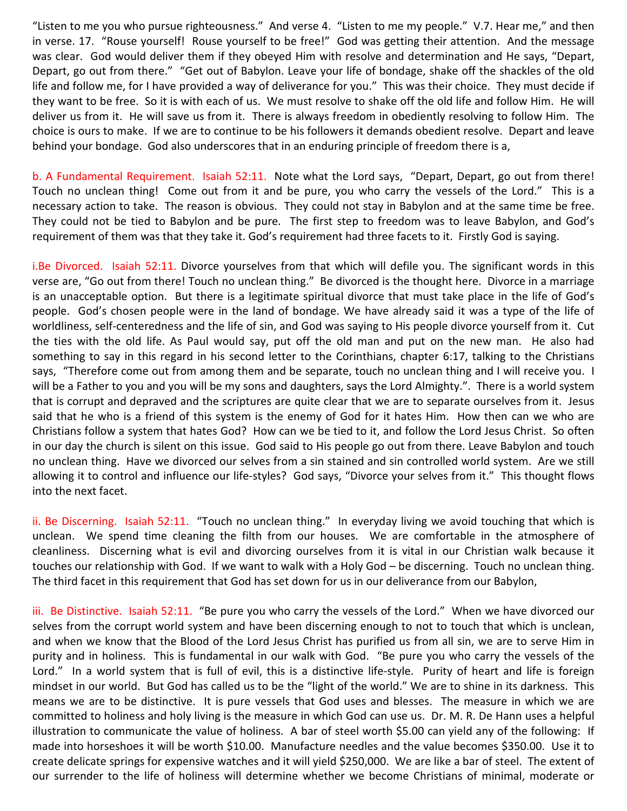"Listen to me you who pursue righteousness." And verse 4. "Listen to me my people." V.7. Hear me," and then in verse. 17. "Rouse yourself! Rouse yourself to be free!" God was getting their attention. And the message was clear. God would deliver them if they obeyed Him with resolve and determination and He says, "Depart, Depart, go out from there." "Get out of Babylon. Leave your life of bondage, shake off the shackles of the old life and follow me, for I have provided a way of deliverance for you." This was their choice. They must decide if they want to be free. So it is with each of us. We must resolve to shake off the old life and follow Him. He will deliver us from it. He will save us from it. There is always freedom in obediently resolving to follow Him. The choice is ours to make. If we are to continue to be his followers it demands obedient resolve. Depart and leave behind your bondage. God also underscores that in an enduring principle of freedom there is a,

b. A Fundamental Requirement. Isaiah 52:11. Note what the Lord says, "Depart, Depart, go out from there! Touch no unclean thing! Come out from it and be pure, you who carry the vessels of the Lord." This is a necessary action to take. The reason is obvious. They could not stay in Babylon and at the same time be free. They could not be tied to Babylon and be pure. The first step to freedom was to leave Babylon, and God's requirement of them was that they take it. God's requirement had three facets to it. Firstly God is saying.

i.Be Divorced. Isaiah 52:11. Divorce yourselves from that which will defile you. The significant words in this verse are, "Go out from there! Touch no unclean thing." Be divorced is the thought here. Divorce in a marriage is an unacceptable option. But there is a legitimate spiritual divorce that must take place in the life of God's people. God's chosen people were in the land of bondage. We have already said it was a type of the life of worldliness, self-centeredness and the life of sin, and God was saying to His people divorce yourself from it. Cut the ties with the old life. As Paul would say, put off the old man and put on the new man. He also had something to say in this regard in his second letter to the Corinthians, chapter 6:17, talking to the Christians says, "Therefore come out from among them and be separate, touch no unclean thing and I will receive you. I will be a Father to you and you will be my sons and daughters, says the Lord Almighty.". There is a world system that is corrupt and depraved and the scriptures are quite clear that we are to separate ourselves from it. Jesus said that he who is a friend of this system is the enemy of God for it hates Him. How then can we who are Christians follow a system that hates God? How can we be tied to it, and follow the Lord Jesus Christ. So often in our day the church is silent on this issue. God said to His people go out from there. Leave Babylon and touch no unclean thing. Have we divorced our selves from a sin stained and sin controlled world system. Are we still allowing it to control and influence our life-styles? God says, "Divorce your selves from it." This thought flows into the next facet.

ii. Be Discerning. Isaiah 52:11. "Touch no unclean thing." In everyday living we avoid touching that which is unclean. We spend time cleaning the filth from our houses. We are comfortable in the atmosphere of cleanliness. Discerning what is evil and divorcing ourselves from it is vital in our Christian walk because it touches our relationship with God. If we want to walk with a Holy God – be discerning. Touch no unclean thing. The third facet in this requirement that God has set down for us in our deliverance from our Babylon,

iii. Be Distinctive. Isaiah 52:11. "Be pure you who carry the vessels of the Lord." When we have divorced our selves from the corrupt world system and have been discerning enough to not to touch that which is unclean, and when we know that the Blood of the Lord Jesus Christ has purified us from all sin, we are to serve Him in purity and in holiness. This is fundamental in our walk with God. "Be pure you who carry the vessels of the Lord." In a world system that is full of evil, this is a distinctive life-style. Purity of heart and life is foreign mindset in our world. But God has called us to be the "light of the world." We are to shine in its darkness. This means we are to be distinctive. It is pure vessels that God uses and blesses. The measure in which we are committed to holiness and holy living is the measure in which God can use us. Dr. M. R. De Hann uses a helpful illustration to communicate the value of holiness. A bar of steel worth \$5.00 can yield any of the following: If made into horseshoes it will be worth \$10.00. Manufacture needles and the value becomes \$350.00. Use it to create delicate springs for expensive watches and it will yield \$250,000. We are like a bar of steel. The extent of our surrender to the life of holiness will determine whether we become Christians of minimal, moderate or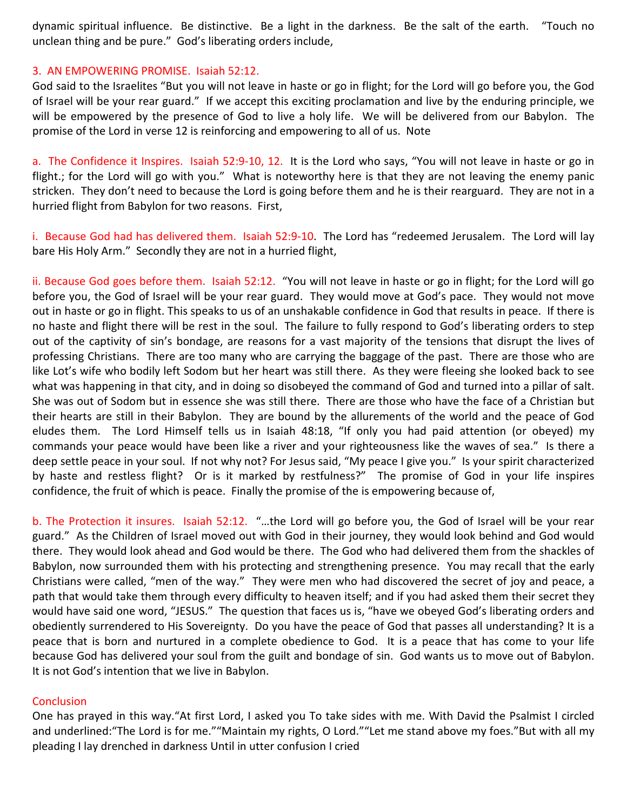dynamic spiritual influence. Be distinctive. Be a light in the darkness. Be the salt of the earth. "Touch no unclean thing and be pure." God's liberating orders include,

### 3. AN EMPOWERING PROMISE. Isaiah 52:12.

God said to the Israelites "But you will not leave in haste or go in flight; for the Lord will go before you, the God of Israel will be your rear guard." If we accept this exciting proclamation and live by the enduring principle, we will be empowered by the presence of God to live a holy life. We will be delivered from our Babylon. The promise of the Lord in verse 12 is reinforcing and empowering to all of us. Note

a. The Confidence it Inspires. Isaiah 52:9-10, 12. It is the Lord who says, "You will not leave in haste or go in flight.; for the Lord will go with you." What is noteworthy here is that they are not leaving the enemy panic stricken. They don't need to because the Lord is going before them and he is their rearguard. They are not in a hurried flight from Babylon for two reasons. First,

i. Because God had has delivered them. Isaiah 52:9-10. The Lord has "redeemed Jerusalem. The Lord will lay bare His Holy Arm." Secondly they are not in a hurried flight,

ii. Because God goes before them. Isaiah 52:12. "You will not leave in haste or go in flight; for the Lord will go before you, the God of Israel will be your rear guard. They would move at God's pace. They would not move out in haste or go in flight. This speaks to us of an unshakable confidence in God that results in peace. If there is no haste and flight there will be rest in the soul. The failure to fully respond to God's liberating orders to step out of the captivity of sin's bondage, are reasons for a vast majority of the tensions that disrupt the lives of professing Christians. There are too many who are carrying the baggage of the past. There are those who are like Lot's wife who bodily left Sodom but her heart was still there. As they were fleeing she looked back to see what was happening in that city, and in doing so disobeyed the command of God and turned into a pillar of salt. She was out of Sodom but in essence she was still there. There are those who have the face of a Christian but their hearts are still in their Babylon. They are bound by the allurements of the world and the peace of God eludes them. The Lord Himself tells us in Isaiah 48:18, "If only you had paid attention (or obeyed) my commands your peace would have been like a river and your righteousness like the waves of sea." Is there a deep settle peace in your soul. If not why not? For Jesus said, "My peace I give you." Is your spirit characterized by haste and restless flight? Or is it marked by restfulness?" The promise of God in your life inspires confidence, the fruit of which is peace. Finally the promise of the is empowering because of,

b. The Protection it insures. Isaiah 52:12. "…the Lord will go before you, the God of Israel will be your rear guard." As the Children of Israel moved out with God in their journey, they would look behind and God would there. They would look ahead and God would be there. The God who had delivered them from the shackles of Babylon, now surrounded them with his protecting and strengthening presence. You may recall that the early Christians were called, "men of the way." They were men who had discovered the secret of joy and peace, a path that would take them through every difficulty to heaven itself; and if you had asked them their secret they would have said one word, "JESUS." The question that faces us is, "have we obeyed God's liberating orders and obediently surrendered to His Sovereignty. Do you have the peace of God that passes all understanding? It is a peace that is born and nurtured in a complete obedience to God. It is a peace that has come to your life because God has delivered your soul from the guilt and bondage of sin. God wants us to move out of Babylon. It is not God's intention that we live in Babylon.

### **Conclusion**

One has prayed in this way."At first Lord, I asked you To take sides with me. With David the Psalmist I circled and underlined:"The Lord is for me.""Maintain my rights, O Lord.""Let me stand above my foes."But with all my pleading I lay drenched in darkness Until in utter confusion I cried